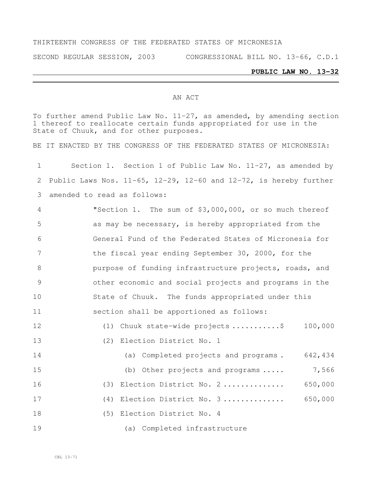### THIRTEENTH CONGRESS OF THE FEDERATED STATES OF MICRONESIA

SECOND REGULAR SESSION, 2003 CONGRESSIONAL BILL NO. 13-66, C.D.1

### **PUBLIC LAW NO. 13-32**

#### AN ACT

To further amend Public Law No. 11-27, as amended, by amending section thereof to reallocate certain funds appropriated for use in the State of Chuuk, and for other purposes.

BE IT ENACTED BY THE CONGRESS OF THE FEDERATED STATES OF MICRONESIA:

| $\mathbf 1$    | Section 1. Section 1 of Public Law No. 11-27, as amended by                  |
|----------------|------------------------------------------------------------------------------|
| 2              | Public Laws Nos. $11-65$ , $12-29$ , $12-60$ and $12-72$ , is hereby further |
| 3              | amended to read as follows:                                                  |
| 4              | "Section 1. The sum of \$3,000,000, or so much thereof                       |
| 5              | as may be necessary, is hereby appropriated from the                         |
| 6              | General Fund of the Federated States of Micronesia for                       |
| 7              | the fiscal year ending September 30, 2000, for the                           |
| 8              | purpose of funding infrastructure projects, roads, and                       |
| $\overline{9}$ | other economic and social projects and programs in the                       |
| 10             | State of Chuuk. The funds appropriated under this                            |
| 11             | section shall be apportioned as follows:                                     |
| 12             | 100,000<br>(1) Chuuk state-wide projects \$                                  |
| 13             | (2) Election District No. 1                                                  |
| 14             | (a) Completed projects and programs. 642,434                                 |
| 15             | 7,566<br>(b) Other projects and programs                                     |
| 16             | 650,000<br>(3) Election District No. 2                                       |
| 17             | 650,000<br>(4) Election District No. 3                                       |
| 18             | (5) Election District No. 4                                                  |
| 19             | (a) Completed infrastructure                                                 |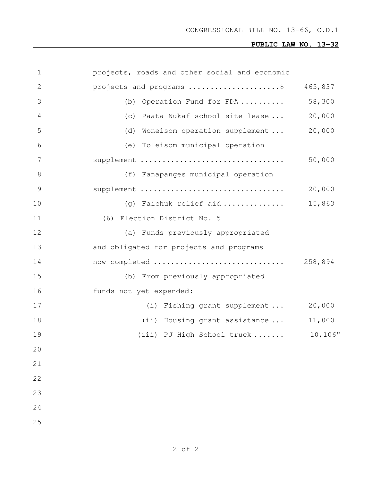# **PUBLIC LAW NO. 13-32**

| $\mathbf 1$    | projects, roads and other social and economic |         |
|----------------|-----------------------------------------------|---------|
| $\mathbf{2}$   | projects and programs \$                      | 465,837 |
| 3              | Operation Fund for FDA<br>(b)                 | 58,300  |
| $\overline{4}$ | (c) Paata Nukaf school site lease             | 20,000  |
| 5              | Woneisom operation supplement<br>(d)          | 20,000  |
| 6              | (e) Toleisom municipal operation              |         |
| 7              | supplement                                    | 50,000  |
| 8              | (f) Fanapanges municipal operation            |         |
| $\mathcal{G}$  | supplement                                    | 20,000  |
| 10             | (g) Faichuk relief aid                        | 15,863  |
| 11             | (6) Election District No. 5                   |         |
| 12             | (a) Funds previously appropriated             |         |
| 13             | and obligated for projects and programs       |         |
| 14             |                                               |         |
| 15             | (b) From previously appropriated              |         |
| 16             | funds not yet expended:                       |         |
| 17             | (i) Fishing grant supplement                  | 20,000  |
| 18             | (ii) Housing grant assistance                 | 11,000  |
| 19             | (iii) PJ High School truck                    | 10,106" |
| 20             |                                               |         |
| 21             |                                               |         |
| 22             |                                               |         |
| 23             |                                               |         |
| 24             |                                               |         |
| 25             |                                               |         |